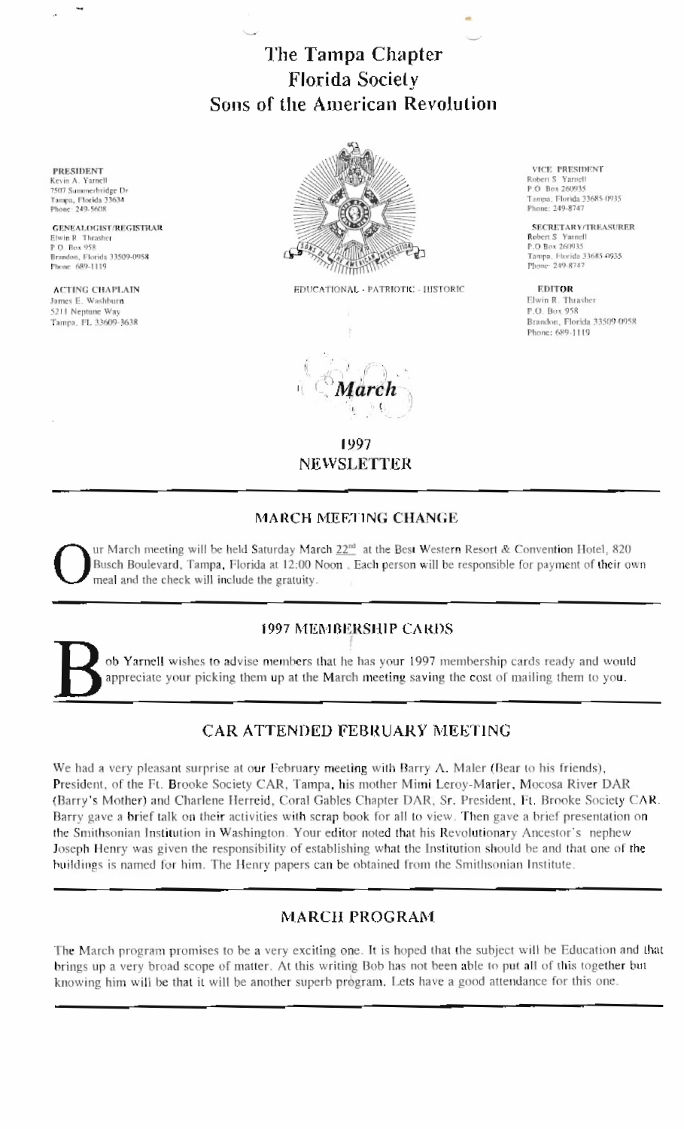# The Tampa Chapter **Florida Society** Sons of the American Revolution

EDUCATIONAL - PATRIOTIC - HISTORIC

VICE PRESIDENT

Tampa, Florida 33685-0935

Tampa, Florida 33685-0935<br>Phone: 249-8747

**SECRETARY/TREASURER** 

Brandon, Florida 33509-0958

Robert S Yarnell<br>P.O. Box 260935

Phone: 249-8747

Robert S Ymnell<br>P.O Box 260935

**EDITOR** 

P.O. Box 958

Elwin R. Thrasher

Phone: 689-1119

1997 **NEWSLETTER** 

### **MARCH MEETING CHANGE**

ur March meeting will be held Saturday March 22<sup>nd</sup> at the Best Western Resort & Convention Hotel, 820 Busch Boulevard, Tampa, Florida at 12:00 Noon. Each person will be responsible for payment of their own meal and the check will include the gratuity.

## **1997 MEMBERSHIP CARDS**

ob Yarnell wishes to advise members that he has your 1997 membership cards ready and would appreciate your picking them up at the March meeting saving the cost of mailing them to you.

# **CAR ATTENDED FEBRUARY MEETING**

We had a very pleasant surprise at our February meeting with Barry A. Maler (Bear to his friends), President, of the Ft. Brooke Society CAR, Tampa, his mother Mimi Leroy-Marler, Mocosa River DAR (Barry's Mother) and Charlene Herreid, Coral Gables Chapter DAR, Sr. President, Ft. Brooke Society CAR. Barry gave a brief talk on their activities with scrap book for all to view. Then gave a brief presentation on the Smithsonian Institution in Washington. Your editor noted that his Revolutionary Ancestor's nephew Joseph Henry was given the responsibility of establishing what the Institution should be and that one of the buildings is named for him. The Henry papers can be obtained from the Smithsonian Institute.

# **MARCH PROGRAM**

The March program promises to be a very exciting one. It is hoped that the subject will be Education and that brings up a very broad scope of matter. At this writing Bob has not been able to put all of this together but knowing him will be that it will be another superb program. Lets have a good attendance for this one.

**PRESIDENT** Kevin A. Yarnell 7507 Sammerbridge Dr Tampa, Florida 33634 Phone: 249-5608

**GENEALOGIST/REGISTRAR** Elwin R Thrasher P.O. Box 958 Brandon, Florida 33509-0958 Phone 689-1119

**ACTING CHAPLAIN** James E. Washburn 5211 Neptune Way Tampa, FL 33609-3638